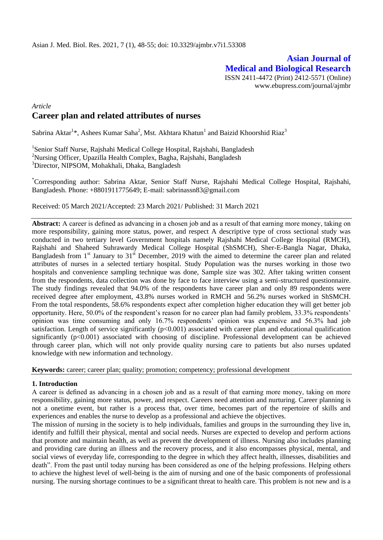# **Asian Journal of Medical and Biological Research** ISSN 2411-4472 (Print) 2412-5571 (Online)

www.ebupress.com/journal/ajmbr

# *Article* **Career plan and related attributes of nurses**

Sabrina Aktar<sup>1</sup>\*, Ashees Kumar Saha<sup>2</sup>, Mst. Akhtara Khatun<sup>1</sup> and Baizid Khoorshid Riaz<sup>3</sup>

<sup>1</sup>Senior Staff Nurse, Rajshahi Medical College Hospital, Rajshahi, Bangladesh <sup>2</sup>Nursing Officer, Upazilla Health Complex, Bagha, Rajshahi, Bangladesh <sup>3</sup>Director, NIPSOM, Mohakhali, Dhaka, Bangladesh

\*Corresponding author: Sabrina Aktar, Senior Staff Nurse, Rajshahi Medical College Hospital, Rajshahi, Bangladesh. Phone: +8801911775649; E-mail: sabrinassn83@gmail.com

Received: 05 March 2021/Accepted: 23 March 2021/ Published: 31 March 2021

**Abstract:** A career is defined as advancing in a chosen job and as a result of that earning more money, taking on more responsibility, gaining more status, power, and respect A descriptive type of cross sectional study was conducted in two tertiary level Government hospitals namely Rajshahi Medical College Hospital (RMCH), Rajshahi and Shaheed Suhrawardy Medical College Hospital (ShSMCH), Sher-E-Bangla Nagar, Dhaka, Bangladesh from  $1<sup>st</sup>$  January to  $31<sup>st</sup>$  December, 2019 with the aimed to determine the career plan and related attributes of nurses in a selected tertiary hospital. Study Population was the nurses working in those two hospitals and convenience sampling technique was done, Sample size was 302. After taking written consent from the respondents, data collection was done by face to face interview using a semi-structured questionnaire. The study findings revealed that 94.0% of the respondents have career plan and only 89 respondents were received degree after employment, 43.8% nurses worked in RMCH and 56.2% nurses worked in ShSMCH. From the total respondents, 58.6% respondents expect after completion higher education they will get better job opportunity. Here, 50.0% of the respondent's reason for no career plan had family problem, 33.3% respondents' opinion was time consuming and only 16.7% respondents' opinion was expensive and 56.3% had job satisfaction. Length of service significantly  $(p<0.001)$  associated with career plan and educational qualification significantly (p<0.001) associated with choosing of discipline. Professional development can be achieved through career plan, which will not only provide quality nursing care to patients but also nurses updated knowledge with new information and technology.

**Keywords:** career; career plan; quality; promotion; competency; professional development

## **1. Introduction**

A career is defined as advancing in a chosen job and as a result of that earning more money, taking on more responsibility, gaining more status, power, and respect. Careers need attention and nurturing. Career planning is not a onetime event, but rather is a process that, over time, becomes part of the repertoire of skills and experiences and enables the nurse to develop as a professional and achieve the objectives.

The mission of nursing in the society is to help individuals, families and groups in the surrounding they live in, identify and fulfill their physical, mental and social needs. Nurses are expected to develop and perform actions that promote and maintain health, as well as prevent the development of illness. Nursing also includes planning and providing care during an illness and the recovery process, and it also encompasses physical, mental, and social views of everyday life, corresponding to the degree in which they affect health, illnesses, disabilities and death". From the past until today nursing has been considered as one of the helping professions. Helping others to achieve the highest level of well-being is the aim of nursing and one of the basic components of professional nursing. The nursing shortage continues to be a significant threat to health care. This problem is not new and is a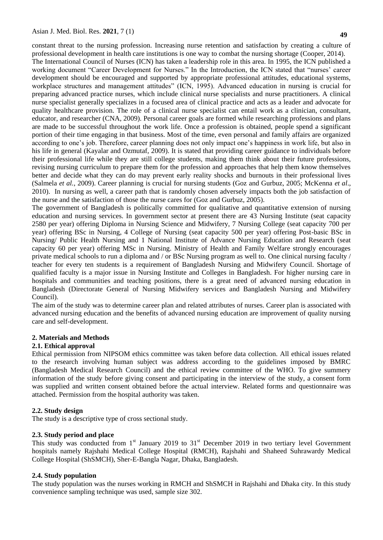constant threat to the nursing profession. Increasing nurse retention and satisfaction by creating a culture of professional development in health care institutions is one way to combat the nursing shortage (Cooper, 2014).

The International Council of Nurses (ICN) has taken a leadership role in this area. In 1995, the ICN published a working document "Career Development for Nurses." In the Introduction, the ICN stated that "nurses' career development should be encouraged and supported by appropriate professional attitudes, educational systems, workplace structures and management attitudes" (ICN, 1995). Advanced education in nursing is crucial for preparing advanced practice nurses, which include clinical nurse specialists and nurse practitioners. A clinical nurse specialist generally specializes in a focused area of clinical practice and acts as a leader and advocate for quality healthcare provision. The role of a clinical nurse specialist can entail work as a clinician, consultant, educator, and researcher (CNA, 2009). Personal career goals are formed while researching professions and plans are made to be successful throughout the work life. Once a profession is obtained, people spend a significant portion of their time engaging in that business. Most of the time, even personal and family affairs are organized according to one's job. Therefore, career planning does not only impact one's happiness in work life, but also in his life in general (Kayalar and Ozmutaf, 2009). It is stated that providing career guidance to individuals before their professional life while they are still college students, making them think about their future professions, revising nursing curriculum to prepare them for the profession and approaches that help them know themselves better and decide what they can do may prevent early reality shocks and burnouts in their professional lives (Salmela *et al.*, 2009). Career planning is crucial for nursing students (Goz and Gurbuz, 2005; McKenna *et al*., 2010). In nursing as well, a career path that is randomly chosen adversely impacts both the job satisfaction of the nurse and the satisfaction of those the nurse cares for (Goz and Gurbuz, 2005).

The government of Bangladesh is politically committed for qualitative and quantitative extension of nursing education and nursing services. In government sector at present there are 43 Nursing Institute (seat capacity 2580 per year) offering Diploma in Nursing Science and Midwifery, 7 Nursing College (seat capacity 700 per year) offering BSc in Nursing, 4 College of Nursing (seat capacity 500 per year) offering Post-basic BSc in Nursing/ Public Health Nursing and 1 National Institute of Advance Nursing Education and Research (seat capacity 60 per year) offering MSc in Nursing. Ministry of Health and Family Welfare strongly encourages private medical schools to run a diploma and / or BSc Nursing program as well to. One clinical nursing faculty / teacher for every ten students is a requirement of Bangladesh Nursing and Midwifery Council. Shortage of qualified faculty is a major issue in Nursing Institute and Colleges in Bangladesh. For higher nursing care in hospitals and communities and teaching positions, there is a great need of advanced nursing education in Bangladesh (Directorate General of Nursing Midwifery services and Bangladesh Nursing and Midwifery Council).

The aim of the study was to determine career plan and related attributes of nurses. Career plan is associated with advanced nursing education and the benefits of advanced nursing education are improvement of quality nursing care and self-development.

## **2. Materials and Methods**

## **2.1. Ethical approval**

Ethical permission from NIPSOM ethics committee was taken before data collection. All ethical issues related to the research involving human subject was address according to the guidelines imposed by BMRC (Bangladesh Medical Research Council) and the ethical review committee of the WHO. To give summery information of the study before giving consent and participating in the interview of the study, a consent form was supplied and written consent obtained before the actual interview. Related forms and questionnaire was attached. Permission from the hospital authority was taken.

# **2.2. Study design**

The study is a descriptive type of cross sectional study.

## **2.3. Study period and place**

This study was conducted from  $1<sup>st</sup>$  January 2019 to  $31<sup>st</sup>$  December 2019 in two tertiary level Government hospitals namely Rajshahi Medical College Hospital (RMCH), Rajshahi and Shaheed Suhrawardy Medical College Hospital (ShSMCH), Sher-E-Bangla Nagar, Dhaka, Bangladesh.

## **2.4. Study population**

The study population was the nurses working in RMCH and ShSMCH in Rajshahi and Dhaka city. In this study convenience sampling technique was used, sample size 302.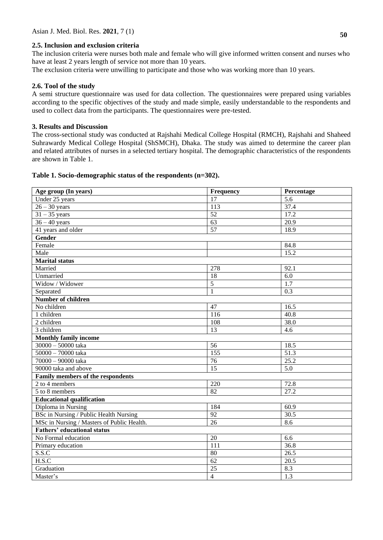#### **2.5. Inclusion and exclusion criteria**

The inclusion criteria were nurses both male and female who will give informed written consent and nurses who have at least 2 years length of service not more than 10 years.

The exclusion criteria were unwilling to participate and those who was working more than 10 years.

#### **2.6. Tool of the study**

A semi structure questionnaire was used for data collection. The questionnaires were prepared using variables according to the specific objectives of the study and made simple, easily understandable to the respondents and used to collect data from the participants. The questionnaires were pre-tested.

## **3. Results and Discussion**

The cross-sectional study was conducted at Rajshahi Medical College Hospital (RMCH), Rajshahi and Shaheed Suhrawardy Medical College Hospital (ShSMCH), Dhaka. The study was aimed to determine the career plan and related attributes of nurses in a selected tertiary hospital. The demographic characteristics of the respondents are shown in Table 1.

#### **Table 1. Socio-demographic status of the respondents (n=302).**

| Age group (In years)                       | Frequency        | Percentage        |
|--------------------------------------------|------------------|-------------------|
| Under 25 years                             | 17               | 5.6               |
| $26 - 30$ years                            | $\overline{113}$ | 37.4              |
| $31 - 35$ years                            | 52               | 17.2              |
| $\frac{36-40}{9}$ years                    | 63               | 20.9              |
| 41 years and older                         | 57               | 18.9              |
| Gender                                     |                  |                   |
| Female                                     |                  | 84.8              |
| Male                                       |                  | 15.2              |
| <b>Marital</b> status                      |                  |                   |
| Married                                    | 278              | 92.1              |
| Unmarried                                  | 18               | 6.0               |
| Widow / Widower                            | $\overline{5}$   | 1.7               |
| Separated                                  | $\mathbf{1}$     | 0.3               |
| <b>Number of children</b>                  |                  |                   |
| No children                                | 47               | 16.5              |
| 1 children                                 | 116              | 40.8              |
| 2 children                                 | 108              | 38.0              |
| 3 children                                 | $\overline{13}$  | 4.6               |
| <b>Monthly family income</b>               |                  |                   |
| $\frac{30000 - 50000}{30000}$ taka         | $\overline{56}$  | 18.5              |
| 50000 - 70000 taka                         | 155              | $\overline{51.3}$ |
| 70000 - 90000 taka                         | 76               | $\overline{25.2}$ |
| 90000 taka and above                       | 15               | 5.0               |
| Family members of the respondents          |                  |                   |
| 2 to 4 members                             | 220              | 72.8              |
| 5 to 8 members                             | $\overline{82}$  | $\overline{27.2}$ |
| <b>Educational qualification</b>           |                  |                   |
| Diploma in Nursing                         | 184              | 60.9              |
| BSc in Nursing / Public Health Nursing     | 92               | 30.5              |
| MSc in Nursing / Masters of Public Health. | 26               | 8.6               |
| <b>Fathers' educational status</b>         |                  |                   |
| No Formal education                        | $20\,$           | 6.6               |
| Primary education                          | 111              | 36.8              |
| S.S.C                                      | 80               | 26.5              |
| H.S.C                                      | $\overline{62}$  | 20.5              |
| Graduation                                 | $\overline{25}$  | 8.3               |
| Master's                                   | $\overline{4}$   | 1.3               |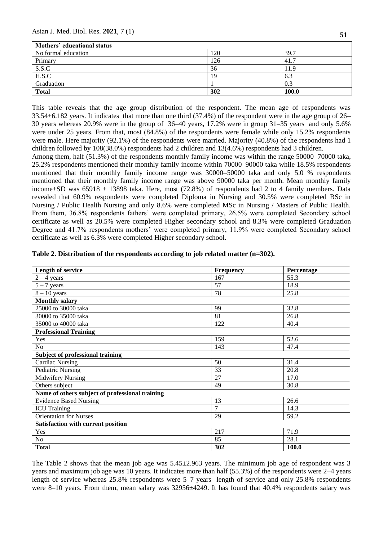Asian J. Med. Biol. Res. **2021**, 7 (1) **<sup>51</sup>**

| Mothers' educational status |     |       |
|-----------------------------|-----|-------|
| No formal education         | 120 | 39.7  |
| Primary                     | 126 | 41.7  |
| S.S.C                       | 36  | 11.9  |
| H.S.C                       | 19  | 6.3   |
| Graduation                  |     | 0.3   |
| <b>Total</b>                | 302 | 100.0 |

This table reveals that the age group distribution of the respondent. The mean age of respondents was 33.54±6.182 years. It indicates that more than one third (37.4%) of the respondent were in the age group of 26– 30 years whereas 20.9% were in the group of 36–40 years, 17.2% were in group 31–35 years and only 5.6% were under 25 years. From that, most (84.8%) of the respondents were female while only 15.2% respondents were male. Here majority (92.1%) of the respondents were married. Majority (40.8%) of the respondents had 1 children followed by 108(38.0%) respondents had 2 children and 13(4.6%) respondents had 3 children.

Among them, half (51.3%) of the respondents monthly family income was within the range 50000–70000 taka, 25.2% respondents mentioned their monthly family income within 70000–90000 taka while 18.5% respondents mentioned that their monthly family income range was 30000–50000 taka and only 5.0 % respondents mentioned that their monthly family income range was above 90000 taka per month. Mean monthly family income $\pm$ SD was 65918  $\pm$  13898 taka. Here, most (72.8%) of respondents had 2 to 4 family members. Data revealed that 60.9% respondents were completed Diploma in Nursing and 30.5% were completed BSc in Nursing / Public Health Nursing and only 8.6% were completed MSc in Nursing / Masters of Public Health. From them, 36.8% respondents fathers' were completed primary, 26.5% were completed Secondary school certificate as well as 20.5% were completed Higher secondary school and 8.3% were completed Graduation Degree and 41.7% respondents mothers' were completed primary, 11.9% were completed Secondary school certificate as well as 6.3% were completed Higher secondary school.

| <b>Length of service</b>                        | <b>Frequency</b> | Percentage |
|-------------------------------------------------|------------------|------------|
| $2 - 4$ years                                   | 167              | 55.3       |
| $5 - 7$ years                                   | 57               | 18.9       |
| $8 - 10$ years                                  | 78               | 25.8       |
| <b>Monthly salary</b>                           |                  |            |
| 25000 to 30000 taka                             | 99               | 32.8       |
| 30000 to 35000 taka                             | 81               | 26.8       |
| 35000 to 40000 taka                             | 122              | 40.4       |
| <b>Professional Training</b>                    |                  |            |
| Yes                                             | 159              | 52.6       |
| N <sub>o</sub>                                  | 143              | 47.4       |
| <b>Subject of professional training</b>         |                  |            |
| <b>Cardiac Nursing</b>                          | 50               | 31.4       |
| <b>Pediatric Nursing</b>                        | 33               | 20.8       |
| <b>Midwifery Nursing</b>                        | 27               | 17.0       |
| Others subject                                  | 49               | 30.8       |
| Name of others subject of professional training |                  |            |
| <b>Evidence Based Nursing</b>                   | 13               | 26.6       |
| <b>ICU</b> Training                             | $\overline{7}$   | 14.3       |
| <b>Orientation for Nurses</b>                   | 29               | 59.2       |
| <b>Satisfaction with current position</b>       |                  |            |
| Yes                                             | 217              | 71.9       |
| N <sub>o</sub>                                  | 85               | 28.1       |
| <b>Total</b>                                    | 302              | 100.0      |

|  |  | Table 2. Distribution of the respondents according to job related matter $(n=302)$ . |  |
|--|--|--------------------------------------------------------------------------------------|--|
|  |  |                                                                                      |  |

The Table 2 shows that the mean job age was 5.45±2.963 years. The minimum job age of respondent was 3 years and maximum job age was 10 years. It indicates more than half (55.3%) of the respondents were 2–4 years length of service whereas 25.8% respondents were 5–7 years length of service and only 25.8% respondents were 8–10 years. From them, mean salary was 32956 $\pm$ 4249. It has found that 40.4% respondents salary was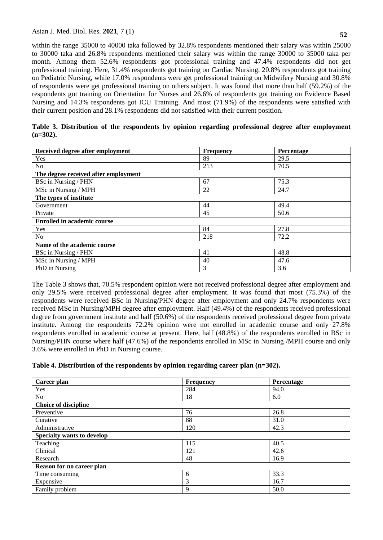within the range 35000 to 40000 taka followed by 32.8% respondents mentioned their salary was within 25000 to 30000 taka and 26.8% respondents mentioned their salary was within the range 30000 to 35000 taka per month. Among them 52.6% respondents got professional training and 47.4% respondents did not get professional training. Here, 31.4% respondents got training on Cardiac Nursing, 20.8% respondents got training on Pediatric Nursing, while 17.0% respondents were get professional training on Midwifery Nursing and 30.8% of respondents were get professional training on others subject. It was found that more than half (59.2%) of the respondents got training on Orientation for Nurses and 26.6% of respondents got training on Evidence Based Nursing and 14.3% respondents got ICU Training. And most (71.9%) of the respondents were satisfied with their current position and 28.1% respondents did not satisfied with their current position.

| Received degree after employment     | Frequency | Percentage |  |  |  |
|--------------------------------------|-----------|------------|--|--|--|
| Yes                                  | 89        | 29.5       |  |  |  |
| N <sub>o</sub>                       | 213       | 70.5       |  |  |  |
| The degree received after employment |           |            |  |  |  |
| BSc in Nursing / PHN                 | 67        | 75.3       |  |  |  |
| MSc in Nursing / MPH                 | 22        | 24.7       |  |  |  |
| The types of institute               |           |            |  |  |  |
| Government                           | 44        | 49.4       |  |  |  |
| Private                              | 45        | 50.6       |  |  |  |
| <b>Enrolled in academic course</b>   |           |            |  |  |  |
| Yes                                  | 84        | 27.8       |  |  |  |
| N <sub>o</sub>                       | 218       | 72.2       |  |  |  |
| Name of the academic course          |           |            |  |  |  |
| BSc in Nursing / PHN                 | 41        | 48.8       |  |  |  |
| MSc in Nursing / MPH                 | 40        | 47.6       |  |  |  |
| PhD in Nursing                       | 3         | 3.6        |  |  |  |

**Table 3. Distribution of the respondents by opinion regarding professional degree after employment (n=302).**

The Table 3 shows that, 70.5% respondent opinion were not received professional degree after employment and only 29.5% were received professional degree after employment. It was found that most (75.3%) of the respondents were received BSc in Nursing/PHN degree after employment and only 24.7% respondents were received MSc in Nursing/MPH degree after employment. Half (49.4%) of the respondents received professional degree from government institute and half (50.6%) of the respondents received professional degree from private institute. Among the respondents 72.2% opinion were not enrolled in academic course and only 27.8% respondents enrolled in academic course at present. Here, half (48.8%) of the respondents enrolled in BSc in Nursing/PHN course where half (47.6%) of the respondents enrolled in MSc in Nursing /MPH course and only 3.6% were enrolled in PhD in Nursing course.

# **Table 4. Distribution of the respondents by opinion regarding career plan (n=302).**

| Career plan                       | Frequency | Percentage |  |  |  |
|-----------------------------------|-----------|------------|--|--|--|
| Yes                               | 284       | 94.0       |  |  |  |
| No                                | 18        | 6.0        |  |  |  |
| <b>Choice of discipline</b>       |           |            |  |  |  |
| Preventive                        | 76        | 26.8       |  |  |  |
| Curative                          | 88        | 31.0       |  |  |  |
| Administrative                    | 120       | 42.3       |  |  |  |
| <b>Specialty wants to develop</b> |           |            |  |  |  |
| Teaching                          | 115       | 40.5       |  |  |  |
| Clinical                          | 121       | 42.6       |  |  |  |
| Research                          | 48        | 16.9       |  |  |  |
| Reason for no career plan         |           |            |  |  |  |
| Time consuming                    | 6         | 33.3       |  |  |  |
| Expensive                         | 3         | 16.7       |  |  |  |
| Family problem                    | 9         | 50.0       |  |  |  |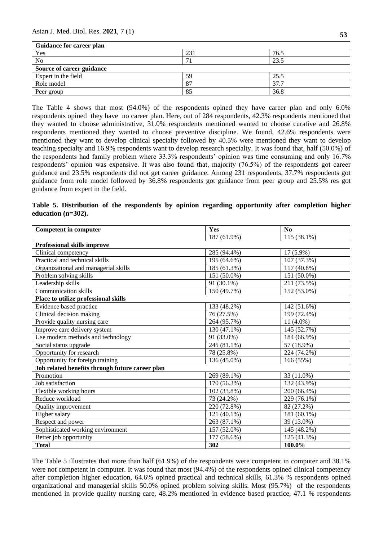# Asian J. Med. Biol. Res. **2021**, 7 (1) **<sup>53</sup>**

| <b>Guidance for career plan</b> |     |      |  |  |  |
|---------------------------------|-----|------|--|--|--|
| Yes                             | 231 | 76.5 |  |  |  |
| N <sub>0</sub>                  | −   | 23.5 |  |  |  |
| Source of career guidance       |     |      |  |  |  |
| Expert in the field             | 59  | 25.5 |  |  |  |
| Role model                      | 87  | 37.7 |  |  |  |
| Peer group                      | 85  | 36.8 |  |  |  |

The Table 4 shows that most (94.0%) of the respondents opined they have career plan and only 6.0% respondents opined they have no career plan. Here, out of 284 respondents, 42.3% respondents mentioned that they wanted to choose administrative, 31.0% respondents mentioned wanted to choose curative and 26.8% respondents mentioned they wanted to choose preventive discipline. We found, 42.6% respondents were mentioned they want to develop clinical specialty followed by 40.5% were mentioned they want to develop teaching specialty and 16.9% respondents want to develop research specialty. It was found that, half (50.0%) of the respondents had family problem where 33.3% respondents' opinion was time consuming and only 16.7% respondents' opinion was expensive. It was also found that, majority (76.5%) of the respondents got career guidance and 23.5% respondents did not get career guidance. Among 231 respondents, 37.7% respondents got guidance from role model followed by 36.8% respondents got guidance from peer group and 25.5% res got guidance from expert in the field.

|                       | Table 5. Distribution of the respondents by opinion regarding opportunity after completion higher |  |  |  |  |
|-----------------------|---------------------------------------------------------------------------------------------------|--|--|--|--|
| education $(n=302)$ . |                                                                                                   |  |  |  |  |

| <b>Competent in computer</b>                    | Yes         | $\mathbf{N}\mathbf{0}$ |
|-------------------------------------------------|-------------|------------------------|
|                                                 | 187 (61.9%) | 115 (38.1%)            |
| Professional skills improve                     |             |                        |
| Clinical competency                             | 285 (94.4%) | 17 (5.9%)              |
| Practical and technical skills                  | 195 (64.6%) | 107 (37.3%)            |
| Organizational and managerial skills            | 185 (61.3%) | 117 (40.8%)            |
| Problem solving skills                          | 151 (50.0%) | 151 (50.0%)            |
| Leadership skills                               | 91 (30.1%)  | 211 (73.5%)            |
| <b>Communication skills</b>                     | 150 (49.7%) | 152 (53.0%)            |
| Place to utilize professional skills            |             |                        |
| Evidence based practice                         | 133 (48.2%) | 142 (51.6%)            |
| Clinical decision making                        | 76 (27.5%)  | 199 (72.4%)            |
| Provide quality nursing care                    | 264 (95.7%) | $11(4.0\%)$            |
| Improve care delivery system                    | 130 (47.1%) | 145 (52.7%)            |
| Use modern methods and technology               | 91 (33.0%)  | 184 (66.9%)            |
| Social status upgrade                           | 245 (81.1%) | 57 (18.9%)             |
| Opportunity for research                        | 78 (25.8%)  | 224 (74.2%)            |
| Opportunity for foreign training                | 136 (45.0%) | 166 (55%)              |
| Job related benefits through future career plan |             |                        |
| Promotion                                       | 269 (89.1%) | 33 (11.0%)             |
| Job satisfaction                                | 170 (56.3%) | 132 (43.9%)            |
| Flexible working hours                          | 102 (33.8%) | 200 (66.4%)            |
| Reduce workload                                 | 73 (24.2%)  | 229 (76.1%)            |
| Quality improvement                             | 220 (72.8%) | 82 (27.2%)             |
| Higher salary                                   | 121 (40.1%) | 181 (60.1%)            |
| Respect and power                               | 263 (87.1%) | 39 (13.0%)             |
| Sophisticated working environment               | 157 (52.0%) | 145 (48.2%)            |
| Better job opportunity                          | 177 (58.6%) | 125 (41.3%)            |
| <b>Total</b>                                    | 302         | 100.0%                 |

The Table 5 illustrates that more than half (61.9%) of the respondents were competent in computer and 38.1% were not competent in computer. It was found that most (94.4%) of the respondents opined clinical competency after completion higher education, 64.6% opined practical and technical skills, 61.3% % respondents opined organizational and managerial skills 50.0% opined problem solving skills. Most (95.7%) of the respondents mentioned in provide quality nursing care, 48.2% mentioned in evidence based practice, 47.1 % respondents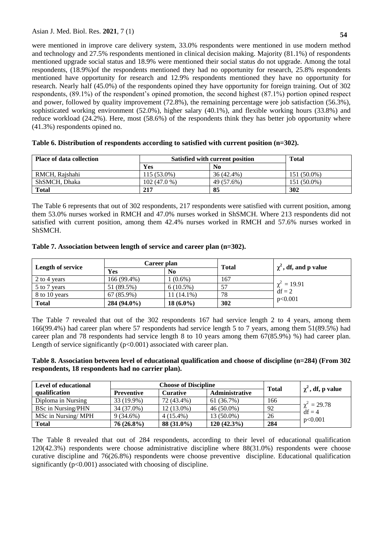were mentioned in improve care delivery system, 33.0% respondents were mentioned in use modern method and technology and 27.5% respondents mentioned in clinical decision making. Majority (81.1%) of respondents mentioned upgrade social status and 18.9% were mentioned their social status do not upgrade. Among the total respondents, (18.9%)of the respondents mentioned they had no opportunity for research, 25.8% respondents mentioned have opportunity for research and 12.9% respondents mentioned they have no opportunity for research. Nearly half (45.0%) of the respondents opined they have opportunity for foreign training. Out of 302 respondents, (89.1%) of the respondent's opined promotion, the second highest (87.1%) portion opined respect and power, followed by quality improvement (72.8%), the remaining percentage were job satisfaction (56.3%), sophisticated working environment (52.0%), higher salary (40.1%), and flexible working hours (33.8%) and reduce workload (24.2%). Here, most (58.6%) of the respondents think they has better job opportunity where (41.3%) respondents opined no.

| <b>Place of data collection</b> |             | Satisfied with current position | <b>Total</b> |
|---------------------------------|-------------|---------------------------------|--------------|
|                                 | Yes         | N <sub>0</sub>                  |              |
| RMCH, Raishahi                  | 115 (53.0%) | 36 (42.4%)                      | 151 (50.0%)  |
| ShSMCH, Dhaka                   | 102(47.0%   | 49 (57.6%)                      | 151 (50.0%)  |
| <b>Total</b>                    | 217         | 85                              | 302          |

## **Table 6. Distribution of respondents according to satisfied with current position (n=302).**

The Table 6 represents that out of 302 respondents, 217 respondents were satisfied with current position, among them 53.0% nurses worked in RMCH and 47.0% nurses worked in ShSMCH. Where 213 respondents did not satisfied with current position, among them 42.4% nurses worked in RMCH and 57.6% nurses worked in ShSMCH.

| Table 7. Association between length of service and career plan (n=302). |  |  |  |
|-------------------------------------------------------------------------|--|--|--|
|                                                                         |  |  |  |

|                   | Career plan   |                | <b>Total</b> | $\chi^2$ , df, and p value |
|-------------------|---------------|----------------|--------------|----------------------------|
| Length of service | Yes           | N <sub>0</sub> |              |                            |
| 2 to 4 years      | 166 (99.4%)   | $(0.6\%)$      | 167          |                            |
| 5 to 7 years      | 51 (89.5%)    | $6(10.5\%)$    |              | $\gamma^2 = 19.91$         |
| 8 to 10 years     | $67(85.9\%)$  | $11(14.1\%)$   | 78           | $df = 2$                   |
| <b>Total</b>      | $284(94.0\%)$ | $18(6.0\%)$    | 302          | p<0.001                    |

The Table 7 revealed that out of the 302 respondents 167 had service length 2 to 4 years, among them 166(99.4%) had career plan where 57 respondents had service length 5 to 7 years, among them 51(89.5%) had career plan and 78 respondents had service length 8 to 10 years among them 67(85.9%) %) had career plan. Length of service significantly  $(p<0.001)$  associated with career plan.

# **Table 8. Association between level of educational qualification and choose of discipline (n=284) (From 302 respondents, 18 respondents had no carrier plan).**

| <b>Level of educational</b> | <b>Choose of Discipline</b> |                 |                       | <b>Total</b> | $\chi^2$ , df, p value |
|-----------------------------|-----------------------------|-----------------|-----------------------|--------------|------------------------|
| qualification               | <b>Preventive</b>           | <b>Curative</b> | <b>Administrative</b> |              |                        |
| Diploma in Nursing          | 33 (19.9%)                  | 72 (43.4%)      | 61 (36.7%)            | 166          |                        |
| <b>BSc in Nursing/PHN</b>   | 34 (37.0%)                  | 12 (13.0%)      | $46(50.0\%)$          | 92           | $\gamma^2 = 29.78$     |
| MSc in Nursing/MPH          | $9(34.6\%)$                 | $4(15.4\%)$     | 13 (50.0%)            | 26           | $df = 4$<br>p<0.001    |
| <b>Total</b>                | $76(26.8\%)$                | 88 (31.0%)      | $120(42.3\%)$         | 284          |                        |

The Table 8 revealed that out of 284 respondents, according to their level of educational qualification 120(42.3%) respondents were choose administrative discipline where 88(31.0%) respondents were choose curative discipline and 76(26.8%) respondents were choose preventive discipline. Educational qualification significantly ( $p<0.001$ ) associated with choosing of discipline.